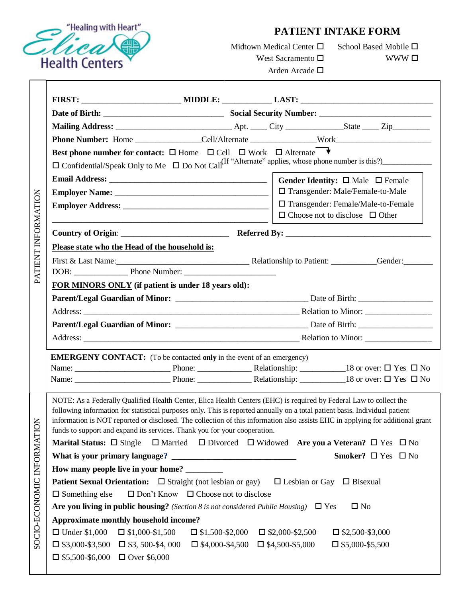

## **PATIENT INTAKE FORM**

Midtown Medical Center  $\square$ West Sacramento  $\square$ 

School Based Mobile  $\Box$ WWW $\Box$ 

Arden Arcade

| PATIENT INFORMATION        | Phone Number: Home _______________Cell/Alternate _______________Work_____________                                                                                                                                                                                                                                              |                                                                                                                                                                                                                                |  |  |  |  |
|----------------------------|--------------------------------------------------------------------------------------------------------------------------------------------------------------------------------------------------------------------------------------------------------------------------------------------------------------------------------|--------------------------------------------------------------------------------------------------------------------------------------------------------------------------------------------------------------------------------|--|--|--|--|
|                            | Best phone number for contact: $\square$ Home $\square$ Cell $\square$ Work $\square$ Alternate                                                                                                                                                                                                                                |                                                                                                                                                                                                                                |  |  |  |  |
|                            |                                                                                                                                                                                                                                                                                                                                |                                                                                                                                                                                                                                |  |  |  |  |
|                            |                                                                                                                                                                                                                                                                                                                                |                                                                                                                                                                                                                                |  |  |  |  |
|                            |                                                                                                                                                                                                                                                                                                                                | □ Transgender: Male/Female-to-Male                                                                                                                                                                                             |  |  |  |  |
|                            |                                                                                                                                                                                                                                                                                                                                | □ Transgender: Female/Male-to-Female<br>$\Box$ Choose not to disclose $\Box$ Other                                                                                                                                             |  |  |  |  |
|                            | <u> La componenta de la componenta de la componenta de la componenta de la componenta de la componenta de la comp</u>                                                                                                                                                                                                          |                                                                                                                                                                                                                                |  |  |  |  |
|                            | Please state who the Head of the household is:                                                                                                                                                                                                                                                                                 |                                                                                                                                                                                                                                |  |  |  |  |
|                            |                                                                                                                                                                                                                                                                                                                                | First & Last Name: Gender: Gender: Gender: Gender: Gender: Gender: Gender: Gender: Gender: Gender: Gender: Gender: Gender: Gender: Gender: Gender: Gender: Gender: Gender: Gender: Gender: Gender: Gender: Gender: Gender: Gen |  |  |  |  |
|                            |                                                                                                                                                                                                                                                                                                                                |                                                                                                                                                                                                                                |  |  |  |  |
|                            | FOR MINORS ONLY (if patient is under 18 years old):                                                                                                                                                                                                                                                                            |                                                                                                                                                                                                                                |  |  |  |  |
|                            |                                                                                                                                                                                                                                                                                                                                |                                                                                                                                                                                                                                |  |  |  |  |
|                            |                                                                                                                                                                                                                                                                                                                                |                                                                                                                                                                                                                                |  |  |  |  |
|                            |                                                                                                                                                                                                                                                                                                                                |                                                                                                                                                                                                                                |  |  |  |  |
|                            |                                                                                                                                                                                                                                                                                                                                |                                                                                                                                                                                                                                |  |  |  |  |
|                            | <b>EMERGENY CONTACT:</b> (To be contacted only in the event of an emergency)                                                                                                                                                                                                                                                   |                                                                                                                                                                                                                                |  |  |  |  |
|                            |                                                                                                                                                                                                                                                                                                                                |                                                                                                                                                                                                                                |  |  |  |  |
|                            |                                                                                                                                                                                                                                                                                                                                |                                                                                                                                                                                                                                |  |  |  |  |
| SOCIO-ECONOMIC INFORMATION | NOTE: As a Federally Qualified Health Center, Elica Health Centers (EHC) is required by Federal Law to collect the<br>following information for statistical purposes only. This is reported annually on a total patient basis. Individual patient<br>funds to support and expand its services. Thank you for your cooperation. | information is NOT reported or disclosed. The collection of this information also assists EHC in applying for additional grant                                                                                                 |  |  |  |  |
|                            | <b>Marital Status:</b> $\Box$ Single                                                                                                                                                                                                                                                                                           | $\Box$ Married $\Box$ Divorced $\Box$ Widowed Are you a Veteran? $\Box$ Yes $\Box$ No                                                                                                                                          |  |  |  |  |
|                            |                                                                                                                                                                                                                                                                                                                                | Smoker? $\Box$ Yes $\Box$ No                                                                                                                                                                                                   |  |  |  |  |
|                            | How many people live in your home? _________                                                                                                                                                                                                                                                                                   |                                                                                                                                                                                                                                |  |  |  |  |
|                            | <b>Patient Sexual Orientation:</b> $\Box$ Straight (not lesbian or gay) $\Box$ Lesbian or Gay $\Box$ Bisexual                                                                                                                                                                                                                  |                                                                                                                                                                                                                                |  |  |  |  |
|                            | $\square$ Something else<br>$\Box$ Don't Know $\Box$ Choose not to disclose                                                                                                                                                                                                                                                    |                                                                                                                                                                                                                                |  |  |  |  |
|                            | Are you living in public housing? (Section 8 is not considered Public Housing) $\Box$ Yes<br>$\square$ No                                                                                                                                                                                                                      |                                                                                                                                                                                                                                |  |  |  |  |
|                            | Approximate monthly household income?                                                                                                                                                                                                                                                                                          |                                                                                                                                                                                                                                |  |  |  |  |
|                            | $\Box$ Under \$1,000<br>$\Box$ \$1,000-\$1,500                                                                                                                                                                                                                                                                                 | $\Box$ \$1,500-\$2,000 $\Box$ \$2,000-\$2,500<br>$\Box$ \$2,500-\$3,000                                                                                                                                                        |  |  |  |  |
|                            | $\Box$ \$3,000-\$3,500 $\Box$ \$3,500-\$4,000                                                                                                                                                                                                                                                                                  | $\Box$ \$4,000-\$4,500 $\Box$ \$4,500-\$5,000<br>$\square$ \$5,000-\$5,500                                                                                                                                                     |  |  |  |  |
|                            | $\Box$ \$5,500-\$6,000 $\Box$ Over \$6,000                                                                                                                                                                                                                                                                                     |                                                                                                                                                                                                                                |  |  |  |  |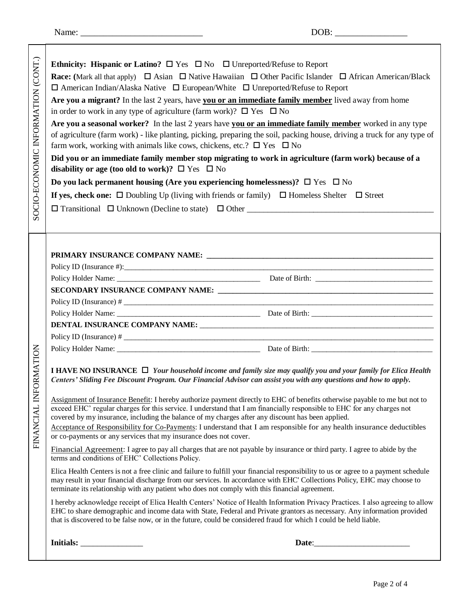FINANCIAL INFORMATION

SOCIO-ECONOMIC INFORMATION (CONT.)

| (CONT.)<br>INFORMATION<br>SOCIO-ECONOMIC | Ethnicity: Hispanic or Latino? $\Box$ Yes $\Box$ No $\Box$ Unreported/Refuse to Report<br><b>Race:</b> (Mark all that apply) $\Box$ Asian $\Box$ Native Hawaiian $\Box$ Other Pacific Islander $\Box$ African American/Black<br>$\Box$ American Indian/Alaska Native $\Box$ European/White $\Box$ Unreported/Refuse to Report<br>Are you a migrant? In the last 2 years, have you or an immediate family member lived away from home<br>in order to work in any type of agriculture (farm work)? $\Box$ Yes $\Box$ No<br>Are you a seasonal worker? In the last 2 years have you or an immediate family member worked in any type<br>of agriculture (farm work) - like planting, picking, preparing the soil, packing house, driving a truck for any type of<br>farm work, working with animals like cows, chickens, etc.? $\square$ Yes $\square$ No<br>Did you or an immediate family member stop migrating to work in agriculture (farm work) because of a<br>disability or age (too old to work)? $\Box$ Yes $\Box$ No<br>Do you lack permanent housing (Are you experiencing homelessness)? $\square$ Yes $\square$ No<br>If yes, check one: $\Box$ Doubling Up (living with friends or family) $\Box$ Homeless Shelter $\Box$ Street |  |  |  |
|------------------------------------------|--------------------------------------------------------------------------------------------------------------------------------------------------------------------------------------------------------------------------------------------------------------------------------------------------------------------------------------------------------------------------------------------------------------------------------------------------------------------------------------------------------------------------------------------------------------------------------------------------------------------------------------------------------------------------------------------------------------------------------------------------------------------------------------------------------------------------------------------------------------------------------------------------------------------------------------------------------------------------------------------------------------------------------------------------------------------------------------------------------------------------------------------------------------------------------------------------------------------------------------------|--|--|--|
|                                          |                                                                                                                                                                                                                                                                                                                                                                                                                                                                                                                                                                                                                                                                                                                                                                                                                                                                                                                                                                                                                                                                                                                                                                                                                                            |  |  |  |
|                                          |                                                                                                                                                                                                                                                                                                                                                                                                                                                                                                                                                                                                                                                                                                                                                                                                                                                                                                                                                                                                                                                                                                                                                                                                                                            |  |  |  |
|                                          |                                                                                                                                                                                                                                                                                                                                                                                                                                                                                                                                                                                                                                                                                                                                                                                                                                                                                                                                                                                                                                                                                                                                                                                                                                            |  |  |  |
|                                          |                                                                                                                                                                                                                                                                                                                                                                                                                                                                                                                                                                                                                                                                                                                                                                                                                                                                                                                                                                                                                                                                                                                                                                                                                                            |  |  |  |
|                                          |                                                                                                                                                                                                                                                                                                                                                                                                                                                                                                                                                                                                                                                                                                                                                                                                                                                                                                                                                                                                                                                                                                                                                                                                                                            |  |  |  |
|                                          |                                                                                                                                                                                                                                                                                                                                                                                                                                                                                                                                                                                                                                                                                                                                                                                                                                                                                                                                                                                                                                                                                                                                                                                                                                            |  |  |  |
|                                          |                                                                                                                                                                                                                                                                                                                                                                                                                                                                                                                                                                                                                                                                                                                                                                                                                                                                                                                                                                                                                                                                                                                                                                                                                                            |  |  |  |
|                                          |                                                                                                                                                                                                                                                                                                                                                                                                                                                                                                                                                                                                                                                                                                                                                                                                                                                                                                                                                                                                                                                                                                                                                                                                                                            |  |  |  |
|                                          |                                                                                                                                                                                                                                                                                                                                                                                                                                                                                                                                                                                                                                                                                                                                                                                                                                                                                                                                                                                                                                                                                                                                                                                                                                            |  |  |  |
|                                          |                                                                                                                                                                                                                                                                                                                                                                                                                                                                                                                                                                                                                                                                                                                                                                                                                                                                                                                                                                                                                                                                                                                                                                                                                                            |  |  |  |
| ORMATION<br>FINANCIAL INF                | I HAVE NO INSURANCE $\Box$ Your household income and family size may qualify you and your family for Elica Health<br>Centers' Sliding Fee Discount Program. Our Financial Advisor can assist you with any questions and how to apply.<br>Assignment of Insurance Benefit: I hereby authorize payment directly to EHC of benefits otherwise payable to me but not to<br>exceed EHC' regular charges for this service. I understand that I am financially responsible to EHC for any charges not<br>covered by my insurance, including the balance of my charges after any discount has been applied.<br>Acceptance of Responsibility for Co-Payments: I understand that I am responsible for any health insurance deductibles<br>or co-payments or any services that my insurance does not cover.                                                                                                                                                                                                                                                                                                                                                                                                                                           |  |  |  |
|                                          | Financial Agreement: I agree to pay all charges that are not payable by insurance or third party. I agree to abide by the<br>terms and conditions of EHC' Collections Policy.                                                                                                                                                                                                                                                                                                                                                                                                                                                                                                                                                                                                                                                                                                                                                                                                                                                                                                                                                                                                                                                              |  |  |  |
|                                          | Elica Health Centers is not a free clinic and failure to fulfill your financial responsibility to us or agree to a payment schedule<br>may result in your financial discharge from our services. In accordance with EHC' Collections Policy, EHC may choose to<br>terminate its relationship with any patient who does not comply with this financial agreement.                                                                                                                                                                                                                                                                                                                                                                                                                                                                                                                                                                                                                                                                                                                                                                                                                                                                           |  |  |  |
|                                          | I hereby acknowledge receipt of Elica Health Centers' Notice of Health Information Privacy Practices. I also agreeing to allow<br>EHC to share demographic and income data with State, Federal and Private grantors as necessary. Any information provided<br>that is discovered to be false now, or in the future, could be considered fraud for which I could be held liable.                                                                                                                                                                                                                                                                                                                                                                                                                                                                                                                                                                                                                                                                                                                                                                                                                                                            |  |  |  |
|                                          | Initials:<br>Date:                                                                                                                                                                                                                                                                                                                                                                                                                                                                                                                                                                                                                                                                                                                                                                                                                                                                                                                                                                                                                                                                                                                                                                                                                         |  |  |  |
|                                          |                                                                                                                                                                                                                                                                                                                                                                                                                                                                                                                                                                                                                                                                                                                                                                                                                                                                                                                                                                                                                                                                                                                                                                                                                                            |  |  |  |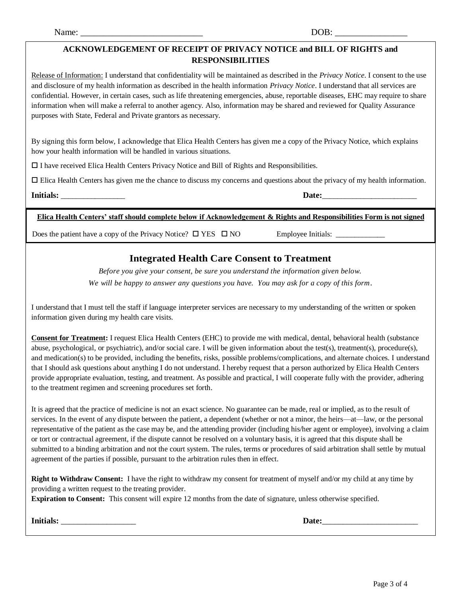## **ACKNOWLEDGEMENT OF RECEIPT OF PRIVACY NOTICE and BILL OF RIGHTS and RESPONSIBILITIES**

Release of Information: I understand that confidentiality will be maintained as described in the *Privacy Notice*. I consent to the use and disclosure of my health information as described in the health information *Privacy Notice*. I understand that all services are confidential. However, in certain cases, such as life threatening emergencies, abuse, reportable diseases, EHC may require to share information when will make a referral to another agency. Also, information may be shared and reviewed for Quality Assurance purposes with State, Federal and Private grantors as necessary.

By signing this form below, I acknowledge that Elica Health Centers has given me a copy of the Privacy Notice, which explains how your health information will be handled in various situations.

I have received Elica Health Centers Privacy Notice and Bill of Rights and Responsibilities.

Elica Health Centers has given me the chance to discuss my concerns and questions about the privacy of my health information.

**Initials:** Date:

**Elica Health Centers' staff should complete below if Acknowledgement & Rights and Responsibilities Form is not signed**

Does the patient have a copy of the Privacy Notice?  $\Box$  YES  $\Box$  NO Employee Initials:

## **Integrated Health Care Consent to Treatment**

*Before you give your consent, be sure you understand the information given below.*

*We will be happy to answer any questions you have. You may ask for a copy of this form.*

I understand that I must tell the staff if language interpreter services are necessary to my understanding of the written or spoken information given during my health care visits.

**Consent for Treatment:** I request Elica Health Centers (EHC) to provide me with medical, dental, behavioral health (substance abuse, psychological, or psychiatric), and/or social care. I will be given information about the test(s), treatment(s), procedure(s), and medication(s) to be provided, including the benefits, risks, possible problems/complications, and alternate choices. I understand that I should ask questions about anything I do not understand. I hereby request that a person authorized by Elica Health Centers provide appropriate evaluation, testing, and treatment. As possible and practical, I will cooperate fully with the provider, adhering to the treatment regimen and screening procedures set forth.

It is agreed that the practice of medicine is not an exact science. No guarantee can be made, real or implied, as to the result of services. In the event of any dispute between the patient, a dependent (whether or not a minor, the heirs—at—law, or the personal representative of the patient as the case may be, and the attending provider (including his/her agent or employee), involving a claim or tort or contractual agreement, if the dispute cannot be resolved on a voluntary basis, it is agreed that this dispute shall be submitted to a binding arbitration and not the court system. The rules, terms or procedures of said arbitration shall settle by mutual agreement of the parties if possible, pursuant to the arbitration rules then in effect.

**Right to Withdraw Consent:** I have the right to withdraw my consent for treatment of myself and/or my child at any time by providing a written request to the treating provider.

**Expiration to Consent:** This consent will expire 12 months from the date of signature, unless otherwise specified.

**Initials:** \_\_\_\_\_\_\_\_\_\_\_\_\_\_\_\_\_\_ **Date:**\_\_\_\_\_\_\_\_\_\_\_\_\_\_\_\_\_\_\_\_\_\_\_